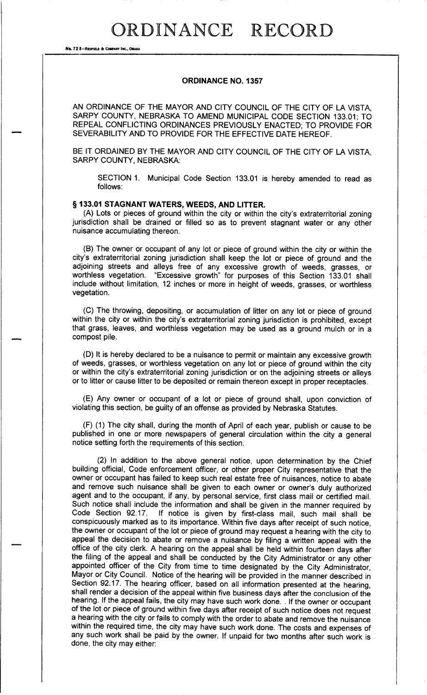No. 72 8-REDFIELD & COMPANY INC., OMAH

### ORDINANCE NO. 1357

AN ORDINANCE OF THE MAYOR AND CITY COUNCIL OF THE CITY OF LA VISTA, SARPY COUNTY, NEBRASKA TO AMEND MUNICIPAL CODE SECTION 133. 01; TO REPEAL CONFLICTING ORDINANCES PREVIOUSLY ENACTED; TO PROVIDE FOR SEVERABILITY AND TO PROVIDE FOR THE EFFECTIVE DATE HEREOF.

BE IT ORDAINED BY THE MAYOR AND CITY COUNCIL OF THE CITY OF LA VISTA, SARPY COUNTY, NEBRASKA:

SECTION 1. Municipal Code Section 133. <sup>01</sup> is hereby amended to read as follows:

### § 133.01 STAGNANT WATERS, WEEDS, AND LITTER.

A) Lots or pieces of ground within the city or within the city's extraterritorial zoning jurisdiction shall be drained or filled so as to prevent stagnant water or any other nuisance accumulating thereon.

B) The owner or occupant of any lot or piece of ground within the city or within the city's extraterritorial zoning jurisdiction shall keep the lot or piece of ground and the adjoining streets and alleys free of any excessive growth of weeds, grasses, or worthless vegetation. "Excessive growth" for purposes of this Section 133.01 shall include without limitation, 12 inches or more in height of weeds, grasses, or worthless vegetation.

C) The throwing, depositing, or accumulation of litter on any lot or piece of ground within the city or within the city's extraterritorial zoning jurisdiction is prohibited, except that grass, leaves, and worthless vegetation may be used as a ground mulch or in a compost pile.

D) It is hereby declared to be a nuisance to permit or maintain any excessive growth of weeds, grasses, or worthless vegetation on any lot or piece of ground within the city or within the city's extraterritorial zoning jurisdiction or on the adjoining streets or alleys or to litter or cause litter to be deposited or remain thereon except in proper receptacles.

E) Any owner or occupant of a lot or piece of ground shall, upon conviction of violating this section, be guilty of an offense as provided by Nebraska Statutes.

F) ( 1) The city shall, during the month of April of each year, publish or cause to be published in one or more newspapers of general circulation within the city a general notice setting forth the requirements of this section.

2) In addition to the above general notice, upon determination by the Chief building official, Code enforcement officer, or other proper City representative that the owner or occupant has failed to keep such real estate free of nuisances, notice to abate and remove such nuisance shall be given to each owner or owner's duly authorized agent and to the occupant, if any, by personal service, first class mail or certified mail. Such notice shall include the information and shall be given in the manner required by Code Section 92.17. If notice is given by first-class mail, such mail shall be If notice is given by first-class mail, such mail shall be conspicuously marked as to its importance. Within five days after receipt of such notice, the owner or occupant of the lot or piece of ground may request a hearing with the city to appeal the decision to abate or remove a nuisance by filing a written appeal with the office of the city clerk. A hearing on the appeal shall be held within fourteen days after the filing of the appeal and shall be conducted by the City Administrator or any other appointed officer of the City from time to time designated by the City Administrator, Mayor or City Council. Notice of the hearing will be provided in the manner described in Section 92. 17. The hearing officer, based on all information presented at the hearing, shall render a decision of the appeal within five business days after the conclusion of the hearing. If the appeal fails, the city may have such work done. . If the owner or occupant of the lot or piece of ground within five days after receipt of such notice does not request a hearing with the city or fails to comply with the order to abate and remove the nuisance within the required time, the city may have such work done. The costs and expenses of any such work shall be paid by the owner. If unpaid for two months after such work is done, the city may either: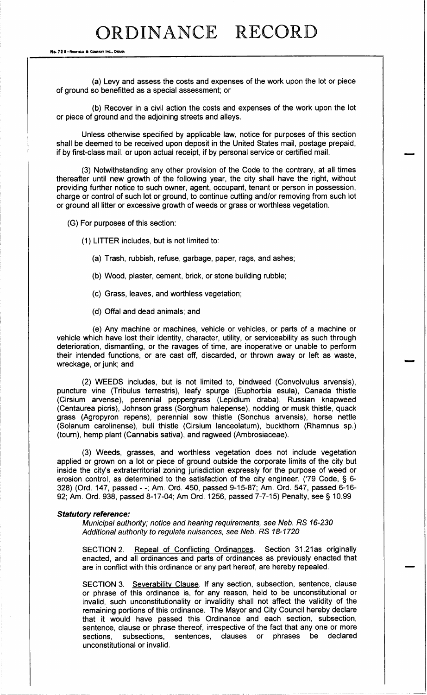## ORDINANCE RECORD

No. 72 8-REDFIELD & COMPANT INC., OMANA

a) Levy and assess the costs and expenses of the work upon the lot or piece of ground so benefitted as a special assessment; or

b) Recover in a civil action the costs and expenses of the work upon the lot or piece of ground and the adjoining streets and alleys.

Unless otherwise specified by applicable law, notice for purposes of this section shall be deemed to be received upon deposit in the United States mail, postage prepaid, if by first- class mail, or upon actual receipt, if by personal service or certified mail.

3) Notwithstanding any other provision of the Code to the contrary, at all times thereafter until new growth of the following year, the city shall have the right, without providing further notice to such owner, agent, occupant, tenant or person in possession, charge or control of such lot or ground, to continue cutting and/or removing from such lot or ground all litter or excessive growth of weeds or grass or worthless vegetation.

G) For purposes of this section:

1) LITTER includes, but is not limited to:

- a) Trash, rubbish, refuse, garbage, paper, rags, and ashes;
- b) Wood, plaster, cement, brick, or stone building rubble;
- c) Grass, leaves, and worthless vegetation;
- d) Offal and dead animals; and

e) Any machine or machines, vehicle or vehicles, or parts of a machine or vehicle which have lost their identity, character, utility, or serviceability as such through deterioration, dismantling, or the ravages of time, are inoperative or unable to perform their intended functions, or are cast off, discarded, or thrown away or left as waste, wreckage, or junk; and

Imm"

2) WEEDS includes, but is not limited to, bindweed ( Convolvulus arvensis), puncture vine (Tribulus terrestris), leafy spurge (Euphorbia esula), Canada thistle Cirsium arvense), perennial peppergrass ( Lepidium draba), Russian knapweed Centaurea picris), Johnson grass ( Sorghum halepense), nodding or musk thistle, quack grass ( Agropyron repens), perennial sow thistle ( Sonchus arvensis), horse nettle Solanum carolinense), bull thistle ( Cirsium lanceolatum), buckthorn ( Rhamnus sp.) tourn), hemp plant (Cannabis sativa), and ragweed ( Ambrosiaceae).

(3) Weeds, grasses, and worthless vegetation does not include vegetation applied or grown on a lot or piece of ground outside the corporate limits of the city but inside the city's extraterritorial zoning jurisdiction expressly for the purpose of weed or erosion control, as determined to the satisfaction of the city engineer. ('79 Code, § 6-328) (Ord. 147, passed - -; Am. Ord. 450, passed 9-15-87; Am. Ord. 547, passed 6-16-92; Am. Ord. 938, passed 8-17-04; Am Ord. 1256, passed 7-7-15) Penalty, see § 10.99

#### Statutory reference:

Municipal authority; notice and hearing requirements, see Neb. RS 16-230 Additional authority to regulate nuisances, see Neb. RS 18-1720

SECTION 2. Repeal of Conflicting Ordinances. Section 31. 21as originally enacted, and all ordinances and parts of ordinances as previously enacted that are in conflict with this ordinance or any part hereof, are hereby repealed.

SECTION 3. Severability Clause. If any section, subsection, sentence, clause or phrase of this ordinance is, for any reason, held to be unconstitutional or invalid, such unconstitutionality or invalidity shall not affect the validity of the remaining portions of this ordinance. The Mayor and City Council hereby declare that it would have passed this Ordinance and each section, subsection, sentence, clause or phrase thereof, irrespective of the fact that any one or more sections. subsections, sentences, clauses or phrases be declared sentences, clauses or phrases be unconstitutional or invalid.